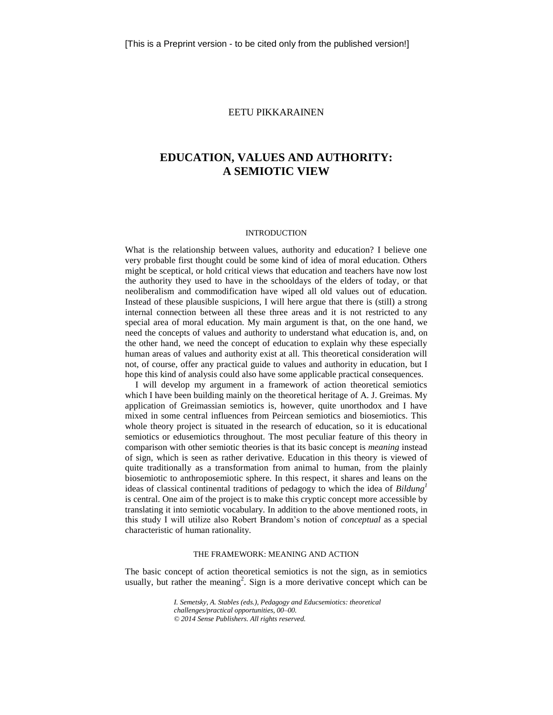# EETU PIKKARAINEN

# **EDUCATION, VALUES AND AUTHORITY: A SEMIOTIC VIEW**

#### INTRODUCTION

What is the relationship between values, authority and education? I believe one very probable first thought could be some kind of idea of moral education. Others might be sceptical, or hold critical views that education and teachers have now lost the authority they used to have in the schooldays of the elders of today, or that neoliberalism and commodification have wiped all old values out of education. Instead of these plausible suspicions, I will here argue that there is (still) a strong internal connection between all these three areas and it is not restricted to any special area of moral education. My main argument is that, on the one hand, we need the concepts of values and authority to understand what education is, and, on the other hand, we need the concept of education to explain why these especially human areas of values and authority exist at all. This theoretical consideration will not, of course, offer any practical guide to values and authority in education, but I hope this kind of analysis could also have some applicable practical consequences.

I will develop my argument in a framework of action theoretical semiotics which I have been building mainly on the theoretical heritage of A. J. Greimas. My application of Greimassian semiotics is, however, quite unorthodox and I have mixed in some central influences from Peircean semiotics and biosemiotics. This whole theory project is situated in the research of education, so it is educational semiotics or edusemiotics throughout. The most peculiar feature of this theory in comparison with other semiotic theories is that its basic concept is *meaning* instead of sign, which is seen as rather derivative. Education in this theory is viewed of quite traditionally as a transformation from animal to human, from the plainly biosemiotic to anthroposemiotic sphere. In this respect, it shares and leans on the ideas of classical continental traditions of pedagogy to which the idea of *Bildung 1* is central. One aim of the project is to make this cryptic concept more accessible by translating it into semiotic vocabulary. In addition to the above mentioned roots, in this study I will utilize also Robert Brandom's notion of *conceptual* as a special characteristic of human rationality.

## THE FRAMEWORK: MEANING AND ACTION

The basic concept of action theoretical semiotics is not the sign, as in semiotics usually, but rather the meaning<sup>2</sup>. Sign is a more derivative concept which can be

> *I. Semetsky, A. Stables (eds.), Pedagogy and Educsemiotics: theoretical challenges/practical opportunities, 00–00. © 2014 Sense Publishers. All rights reserved.*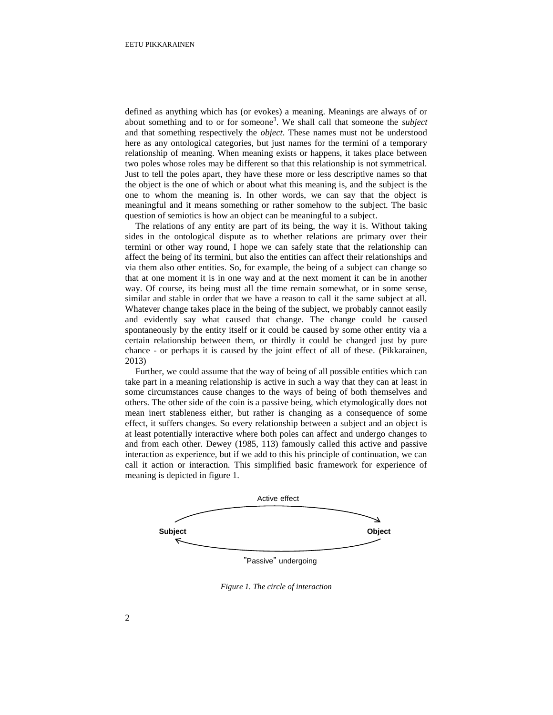defined as anything which has (or evokes) a meaning. Meanings are always of or about something and to or for someone<sup>3</sup> . We shall call that someone the *subject* and that something respectively the *object*. These names must not be understood here as any ontological categories, but just names for the termini of a temporary relationship of meaning. When meaning exists or happens, it takes place between two poles whose roles may be different so that this relationship is not symmetrical. Just to tell the poles apart, they have these more or less descriptive names so that the object is the one of which or about what this meaning is, and the subject is the one to whom the meaning is. In other words, we can say that the object is meaningful and it means something or rather somehow to the subject. The basic question of semiotics is how an object can be meaningful to a subject.

The relations of any entity are part of its being, the way it is. Without taking sides in the ontological dispute as to whether relations are primary over their termini or other way round, I hope we can safely state that the relationship can affect the being of its termini, but also the entities can affect their relationships and via them also other entities. So, for example, the being of a subject can change so that at one moment it is in one way and at the next moment it can be in another way. Of course, its being must all the time remain somewhat, or in some sense, similar and stable in order that we have a reason to call it the same subject at all. Whatever change takes place in the being of the subject, we probably cannot easily and evidently say what caused that change. The change could be caused spontaneously by the entity itself or it could be caused by some other entity via a certain relationship between them, or thirdly it could be changed just by pure chance - or perhaps it is caused by the joint effect of all of these. (Pikkarainen, 2013)

Further, we could assume that the way of being of all possible entities which can take part in a meaning relationship is active in such a way that they can at least in some circumstances cause changes to the ways of being of both themselves and others. The other side of the coin is a passive being, which etymologically does not mean inert stableness either, but rather is changing as a consequence of some effect, it suffers changes. So every relationship between a subject and an object is at least potentially interactive where both poles can affect and undergo changes to and from each other. Dewey (1985, 113) famously called this active and passive interaction as experience, but if we add to this his principle of continuation, we can call it action or interaction. This simplified basic framework for experience of meaning is depicted in figure 1.



"Passive" undergoing

*Figure 1. The circle of interaction*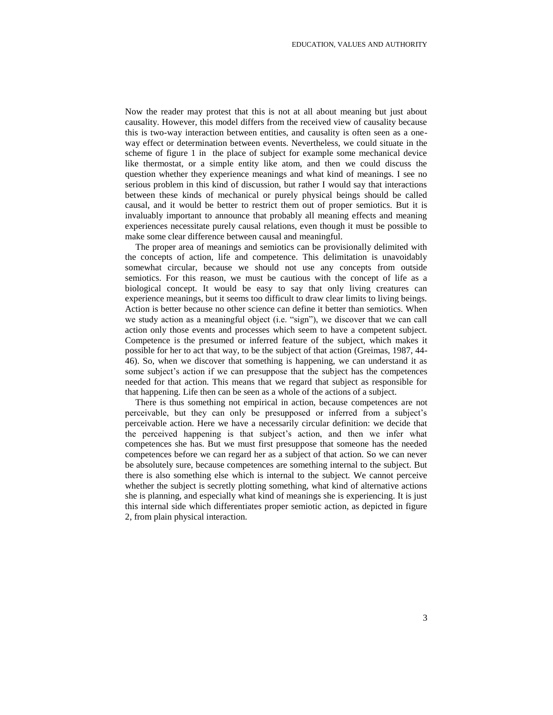Now the reader may protest that this is not at all about meaning but just about causality. However, this model differs from the received view of causality because this is two-way interaction between entities, and causality is often seen as a oneway effect or determination between events. Nevertheless, we could situate in the scheme of figure 1 in the place of subject for example some mechanical device like thermostat, or a simple entity like atom, and then we could discuss the question whether they experience meanings and what kind of meanings. I see no serious problem in this kind of discussion, but rather I would say that interactions between these kinds of mechanical or purely physical beings should be called causal, and it would be better to restrict them out of proper semiotics. But it is invaluably important to announce that probably all meaning effects and meaning experiences necessitate purely causal relations, even though it must be possible to make some clear difference between causal and meaningful.

The proper area of meanings and semiotics can be provisionally delimited with the concepts of action, life and competence. This delimitation is unavoidably somewhat circular, because we should not use any concepts from outside semiotics. For this reason, we must be cautious with the concept of life as a biological concept. It would be easy to say that only living creatures can experience meanings, but it seems too difficult to draw clear limits to living beings. Action is better because no other science can define it better than semiotics. When we study action as a meaningful object (i.e. "sign"), we discover that we can call action only those events and processes which seem to have a competent subject. Competence is the presumed or inferred feature of the subject, which makes it possible for her to act that way, to be the subject of that action (Greimas, 1987, 44- 46). So, when we discover that something is happening, we can understand it as some subject's action if we can presuppose that the subject has the competences needed for that action. This means that we regard that subject as responsible for that happening. Life then can be seen as a whole of the actions of a subject.

There is thus something not empirical in action, because competences are not perceivable, but they can only be presupposed or inferred from a subject's perceivable action. Here we have a necessarily circular definition: we decide that the perceived happening is that subject's action, and then we infer what competences she has. But we must first presuppose that someone has the needed competences before we can regard her as a subject of that action. So we can never be absolutely sure, because competences are something internal to the subject. But there is also something else which is internal to the subject. We cannot perceive whether the subject is secretly plotting something, what kind of alternative actions she is planning, and especially what kind of meanings she is experiencing. It is just this internal side which differentiates proper semiotic action, as depicted in figure 2, from plain physical interaction.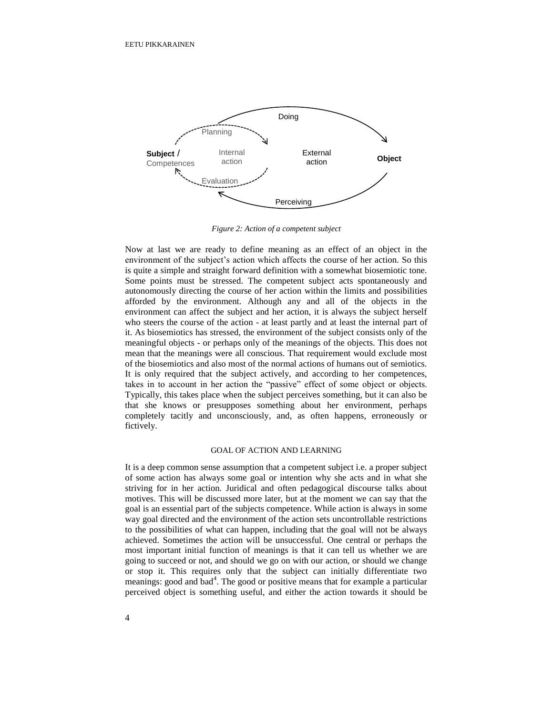

*Figure 2: Action of a competent subject*

Now at last we are ready to define meaning as an effect of an object in the environment of the subject's action which affects the course of her action. So this is quite a simple and straight forward definition with a somewhat biosemiotic tone. Some points must be stressed. The competent subject acts spontaneously and autonomously directing the course of her action within the limits and possibilities afforded by the environment. Although any and all of the objects in the environment can affect the subject and her action, it is always the subject herself who steers the course of the action - at least partly and at least the internal part of it. As biosemiotics has stressed, the environment of the subject consists only of the meaningful objects - or perhaps only of the meanings of the objects. This does not mean that the meanings were all conscious. That requirement would exclude most of the biosemiotics and also most of the normal actions of humans out of semiotics. It is only required that the subject actively, and according to her competences, takes in to account in her action the "passive" effect of some object or objects. Typically, this takes place when the subject perceives something, but it can also be that she knows or presupposes something about her environment, perhaps completely tacitly and unconsciously, and, as often happens, erroneously or fictively.

## GOAL OF ACTION AND LEARNING

It is a deep common sense assumption that a competent subject i.e. a proper subject of some action has always some goal or intention why she acts and in what she striving for in her action. Juridical and often pedagogical discourse talks about motives. This will be discussed more later, but at the moment we can say that the goal is an essential part of the subjects competence. While action is always in some way goal directed and the environment of the action sets uncontrollable restrictions to the possibilities of what can happen, including that the goal will not be always achieved. Sometimes the action will be unsuccessful. One central or perhaps the most important initial function of meanings is that it can tell us whether we are going to succeed or not, and should we go on with our action, or should we change or stop it. This requires only that the subject can initially differentiate two meanings: good and bad<sup>4</sup>. The good or positive means that for example a particular perceived object is something useful, and either the action towards it should be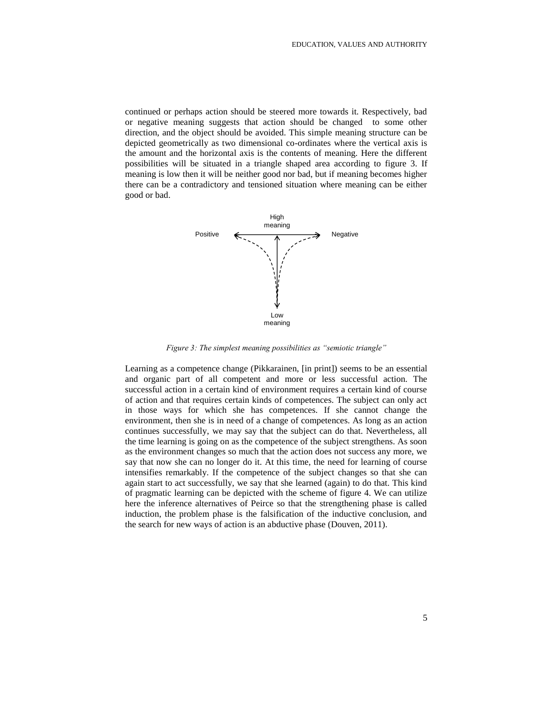continued or perhaps action should be steered more towards it. Respectively, bad or negative meaning suggests that action should be changed to some other direction, and the object should be avoided. This simple meaning structure can be depicted geometrically as two dimensional co-ordinates where the vertical axis is the amount and the horizontal axis is the contents of meaning. Here the different possibilities will be situated in a triangle shaped area according to figure 3. If meaning is low then it will be neither good nor bad, but if meaning becomes higher there can be a contradictory and tensioned situation where meaning can be either good or bad.



*Figure 3: The simplest meaning possibilities as "semiotic triangle"*

Learning as a competence change (Pikkarainen, [in print]) seems to be an essential and organic part of all competent and more or less successful action. The successful action in a certain kind of environment requires a certain kind of course of action and that requires certain kinds of competences. The subject can only act in those ways for which she has competences. If she cannot change the environment, then she is in need of a change of competences. As long as an action continues successfully, we may say that the subject can do that. Nevertheless, all the time learning is going on as the competence of the subject strengthens. As soon as the environment changes so much that the action does not success any more, we say that now she can no longer do it. At this time, the need for learning of course intensifies remarkably. If the competence of the subject changes so that she can again start to act successfully, we say that she learned (again) to do that. This kind of pragmatic learning can be depicted with the scheme of figure 4. We can utilize here the inference alternatives of Peirce so that the strengthening phase is called induction, the problem phase is the falsification of the inductive conclusion, and the search for new ways of action is an abductive phase (Douven, 2011).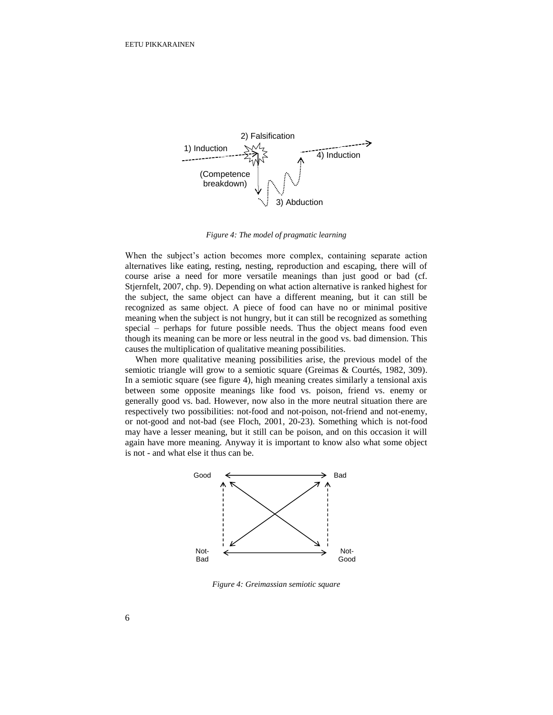

*Figure 4: The model of pragmatic learning*

When the subject's action becomes more complex, containing separate action alternatives like eating, resting, nesting, reproduction and escaping, there will of course arise a need for more versatile meanings than just good or bad (cf. Stjernfelt, 2007, chp. 9). Depending on what action alternative is ranked highest for the subject, the same object can have a different meaning, but it can still be recognized as same object. A piece of food can have no or minimal positive meaning when the subject is not hungry, but it can still be recognized as something special – perhaps for future possible needs. Thus the object means food even though its meaning can be more or less neutral in the good vs. bad dimension. This causes the multiplication of qualitative meaning possibilities.

When more qualitative meaning possibilities arise, the previous model of the semiotic triangle will grow to a semiotic square (Greimas & Courtés, 1982, 309). In a semiotic square (see figure 4), high meaning creates similarly a tensional axis between some opposite meanings like food vs. poison, friend vs. enemy or generally good vs. bad. However, now also in the more neutral situation there are respectively two possibilities: not-food and not-poison, not-friend and not-enemy, or not-good and not-bad (see Floch, 2001, 20-23). Something which is not-food may have a lesser meaning, but it still can be poison, and on this occasion it will again have more meaning. Anyway it is important to know also what some object is not - and what else it thus can be.



*Figure 4: Greimassian semiotic square*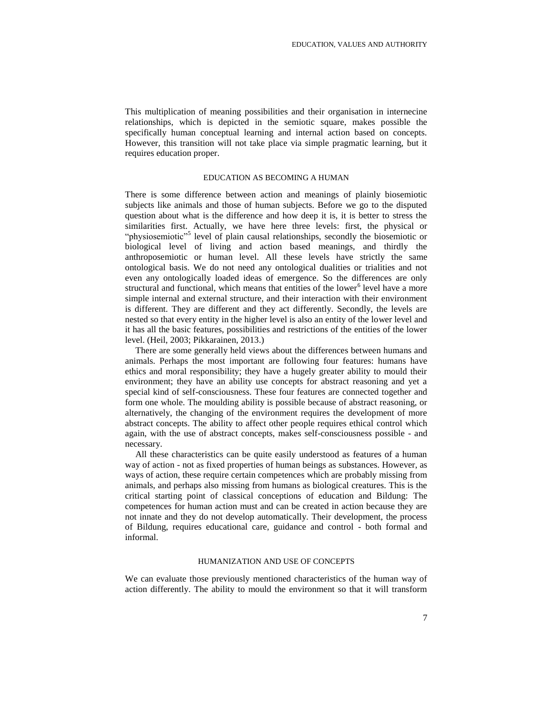This multiplication of meaning possibilities and their organisation in internecine relationships, which is depicted in the semiotic square, makes possible the specifically human conceptual learning and internal action based on concepts. However, this transition will not take place via simple pragmatic learning, but it requires education proper.

#### EDUCATION AS BECOMING A HUMAN

There is some difference between action and meanings of plainly biosemiotic subjects like animals and those of human subjects. Before we go to the disputed question about what is the difference and how deep it is, it is better to stress the similarities first. Actually, we have here three levels: first, the physical or "physiosemiotic"<sup>5</sup> level of plain causal relationships, secondly the biosemiotic or biological level of living and action based meanings, and thirdly the anthroposemiotic or human level. All these levels have strictly the same ontological basis. We do not need any ontological dualities or trialities and not even any ontologically loaded ideas of emergence. So the differences are only structural and functional, which means that entities of the lower<sup>6</sup> level have a more simple internal and external structure, and their interaction with their environment is different. They are different and they act differently. Secondly, the levels are nested so that every entity in the higher level is also an entity of the lower level and it has all the basic features, possibilities and restrictions of the entities of the lower level. (Heil, 2003; Pikkarainen, 2013.)

There are some generally held views about the differences between humans and animals. Perhaps the most important are following four features: humans have ethics and moral responsibility; they have a hugely greater ability to mould their environment; they have an ability use concepts for abstract reasoning and yet a special kind of self-consciousness. These four features are connected together and form one whole. The moulding ability is possible because of abstract reasoning, or alternatively, the changing of the environment requires the development of more abstract concepts. The ability to affect other people requires ethical control which again, with the use of abstract concepts, makes self-consciousness possible - and necessary.

All these characteristics can be quite easily understood as features of a human way of action - not as fixed properties of human beings as substances. However, as ways of action, these require certain competences which are probably missing from animals, and perhaps also missing from humans as biological creatures. This is the critical starting point of classical conceptions of education and Bildung: The competences for human action must and can be created in action because they are not innate and they do not develop automatically. Their development, the process of Bildung, requires educational care, guidance and control - both formal and informal.

# HUMANIZATION AND USE OF CONCEPTS

We can evaluate those previously mentioned characteristics of the human way of action differently. The ability to mould the environment so that it will transform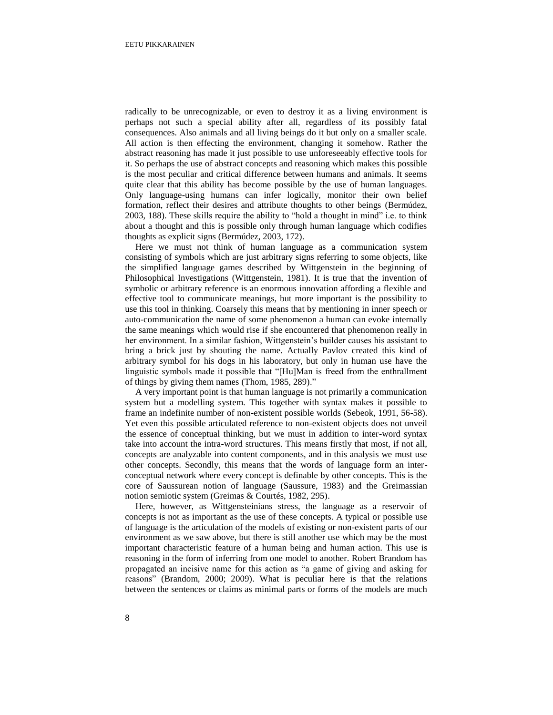radically to be unrecognizable, or even to destroy it as a living environment is perhaps not such a special ability after all, regardless of its possibly fatal consequences. Also animals and all living beings do it but only on a smaller scale. All action is then effecting the environment, changing it somehow. Rather the abstract reasoning has made it just possible to use unforeseeably effective tools for it. So perhaps the use of abstract concepts and reasoning which makes this possible is the most peculiar and critical difference between humans and animals. It seems quite clear that this ability has become possible by the use of human languages. Only language-using humans can infer logically, monitor their own belief formation, reflect their desires and attribute thoughts to other beings (Bermúdez, 2003, 188). These skills require the ability to "hold a thought in mind" i.e. to think about a thought and this is possible only through human language which codifies thoughts as explicit signs (Bermúdez, 2003, 172).

Here we must not think of human language as a communication system consisting of symbols which are just arbitrary signs referring to some objects, like the simplified language games described by Wittgenstein in the beginning of Philosophical Investigations (Wittgenstein, 1981). It is true that the invention of symbolic or arbitrary reference is an enormous innovation affording a flexible and effective tool to communicate meanings, but more important is the possibility to use this tool in thinking. Coarsely this means that by mentioning in inner speech or auto-communication the name of some phenomenon a human can evoke internally the same meanings which would rise if she encountered that phenomenon really in her environment. In a similar fashion, Wittgenstein's builder causes his assistant to bring a brick just by shouting the name. Actually Pavlov created this kind of arbitrary symbol for his dogs in his laboratory, but only in human use have the linguistic symbols made it possible that "[Hu]Man is freed from the enthrallment of things by giving them names (Thom, 1985, 289)."

A very important point is that human language is not primarily a communication system but a modelling system. This together with syntax makes it possible to frame an indefinite number of non-existent possible worlds (Sebeok, 1991, 56-58). Yet even this possible articulated reference to non-existent objects does not unveil the essence of conceptual thinking, but we must in addition to inter-word syntax take into account the intra-word structures. This means firstly that most, if not all, concepts are analyzable into content components, and in this analysis we must use other concepts. Secondly, this means that the words of language form an interconceptual network where every concept is definable by other concepts. This is the core of Saussurean notion of language (Saussure, 1983) and the Greimassian notion semiotic system (Greimas & Courtés, 1982, 295).

Here, however, as Wittgensteinians stress, the language as a reservoir of concepts is not as important as the use of these concepts. A typical or possible use of language is the articulation of the models of existing or non-existent parts of our environment as we saw above, but there is still another use which may be the most important characteristic feature of a human being and human action. This use is reasoning in the form of inferring from one model to another. Robert Brandom has propagated an incisive name for this action as "a game of giving and asking for reasons" (Brandom, 2000; 2009). What is peculiar here is that the relations between the sentences or claims as minimal parts or forms of the models are much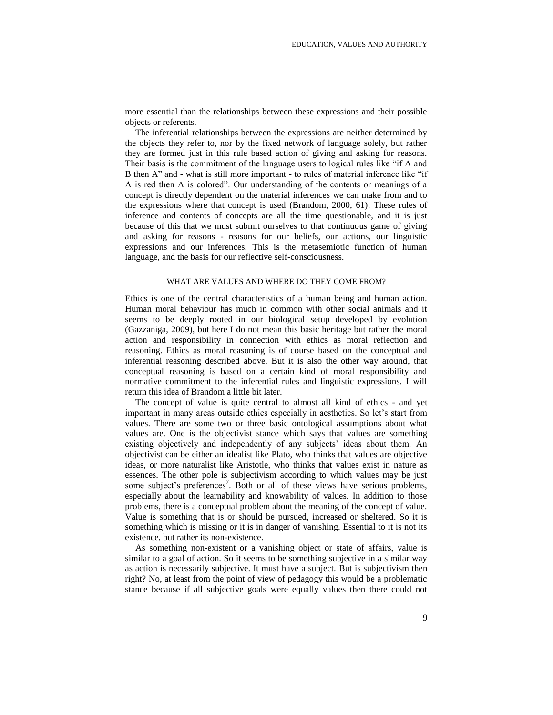more essential than the relationships between these expressions and their possible objects or referents.

The inferential relationships between the expressions are neither determined by the objects they refer to, nor by the fixed network of language solely, but rather they are formed just in this rule based action of giving and asking for reasons. Their basis is the commitment of the language users to logical rules like "if A and B then A" and - what is still more important - to rules of material inference like "if A is red then A is colored". Our understanding of the contents or meanings of a concept is directly dependent on the material inferences we can make from and to the expressions where that concept is used (Brandom, 2000, 61). These rules of inference and contents of concepts are all the time questionable, and it is just because of this that we must submit ourselves to that continuous game of giving and asking for reasons - reasons for our beliefs, our actions, our linguistic expressions and our inferences. This is the metasemiotic function of human language, and the basis for our reflective self-consciousness.

### WHAT ARE VALUES AND WHERE DO THEY COME FROM?

Ethics is one of the central characteristics of a human being and human action. Human moral behaviour has much in common with other social animals and it seems to be deeply rooted in our biological setup developed by evolution (Gazzaniga, 2009), but here I do not mean this basic heritage but rather the moral action and responsibility in connection with ethics as moral reflection and reasoning. Ethics as moral reasoning is of course based on the conceptual and inferential reasoning described above. But it is also the other way around, that conceptual reasoning is based on a certain kind of moral responsibility and normative commitment to the inferential rules and linguistic expressions. I will return this idea of Brandom a little bit later.

The concept of value is quite central to almost all kind of ethics - and yet important in many areas outside ethics especially in aesthetics. So let's start from values. There are some two or three basic ontological assumptions about what values are. One is the objectivist stance which says that values are something existing objectively and independently of any subjects' ideas about them. An objectivist can be either an idealist like Plato, who thinks that values are objective ideas, or more naturalist like Aristotle, who thinks that values exist in nature as essences. The other pole is subjectivism according to which values may be just some subject's preferences<sup>7</sup>. Both or all of these views have serious problems, especially about the learnability and knowability of values. In addition to those problems, there is a conceptual problem about the meaning of the concept of value. Value is something that is or should be pursued, increased or sheltered. So it is something which is missing or it is in danger of vanishing. Essential to it is not its existence, but rather its non-existence.

As something non-existent or a vanishing object or state of affairs, value is similar to a goal of action. So it seems to be something subjective in a similar way as action is necessarily subjective. It must have a subject. But is subjectivism then right? No, at least from the point of view of pedagogy this would be a problematic stance because if all subjective goals were equally values then there could not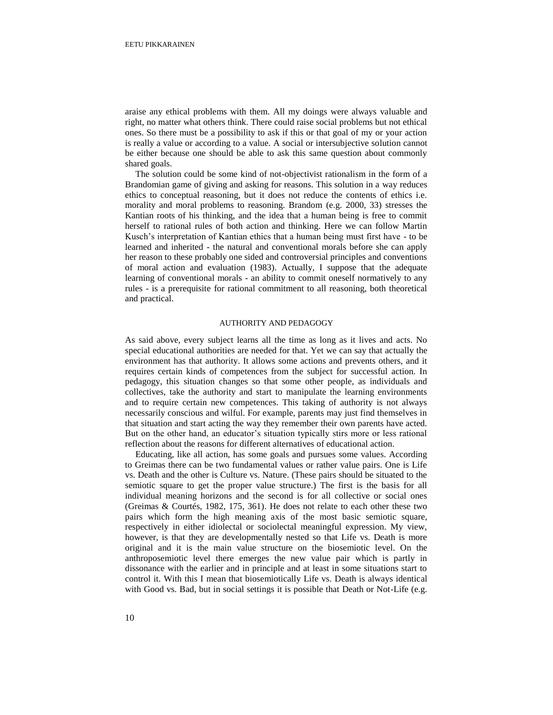araise any ethical problems with them. All my doings were always valuable and right, no matter what others think. There could raise social problems but not ethical ones. So there must be a possibility to ask if this or that goal of my or your action is really a value or according to a value. A social or intersubjective solution cannot be either because one should be able to ask this same question about commonly shared goals.

The solution could be some kind of not-objectivist rationalism in the form of a Brandomian game of giving and asking for reasons. This solution in a way reduces ethics to conceptual reasoning, but it does not reduce the contents of ethics i.e. morality and moral problems to reasoning. Brandom (e.g. 2000, 33) stresses the Kantian roots of his thinking, and the idea that a human being is free to commit herself to rational rules of both action and thinking. Here we can follow Martin Kusch's interpretation of Kantian ethics that a human being must first have - to be learned and inherited - the natural and conventional morals before she can apply her reason to these probably one sided and controversial principles and conventions of moral action and evaluation (1983). Actually, I suppose that the adequate learning of conventional morals - an ability to commit oneself normatively to any rules - is a prerequisite for rational commitment to all reasoning, both theoretical and practical.

#### AUTHORITY AND PEDAGOGY

As said above, every subject learns all the time as long as it lives and acts. No special educational authorities are needed for that. Yet we can say that actually the environment has that authority. It allows some actions and prevents others, and it requires certain kinds of competences from the subject for successful action. In pedagogy, this situation changes so that some other people, as individuals and collectives, take the authority and start to manipulate the learning environments and to require certain new competences. This taking of authority is not always necessarily conscious and wilful. For example, parents may just find themselves in that situation and start acting the way they remember their own parents have acted. But on the other hand, an educator's situation typically stirs more or less rational reflection about the reasons for different alternatives of educational action.

Educating, like all action, has some goals and pursues some values. According to Greimas there can be two fundamental values or rather value pairs. One is Life vs. Death and the other is Culture vs. Nature. (These pairs should be situated to the semiotic square to get the proper value structure.) The first is the basis for all individual meaning horizons and the second is for all collective or social ones (Greimas & Courtés, 1982, 175, 361). He does not relate to each other these two pairs which form the high meaning axis of the most basic semiotic square, respectively in either idiolectal or sociolectal meaningful expression. My view, however, is that they are developmentally nested so that Life vs. Death is more original and it is the main value structure on the biosemiotic level. On the anthroposemiotic level there emerges the new value pair which is partly in dissonance with the earlier and in principle and at least in some situations start to control it. With this I mean that biosemiotically Life vs. Death is always identical with Good vs. Bad, but in social settings it is possible that Death or Not-Life (e.g.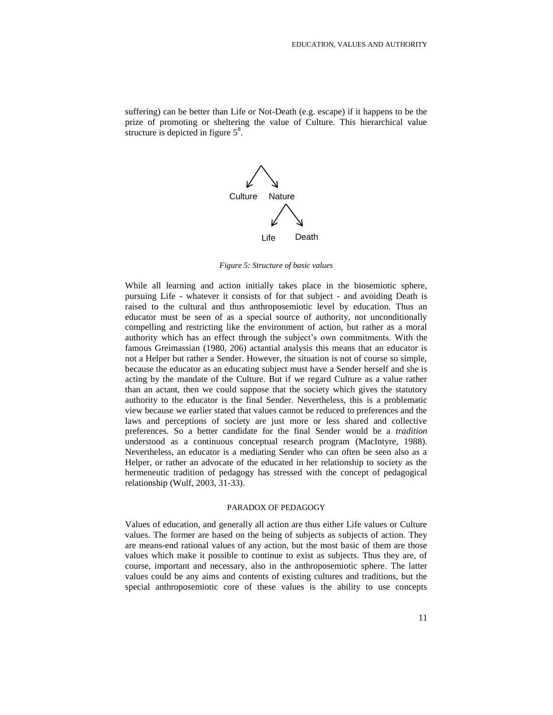suffering) can be better than Life or Not-Death (e.g. escape) if it happens to be the prize of promoting or sheltering the value of Culture. This hierarchical value structure is depicted in figure  $5^8$ .



*Figure 5: Structure of basic values*

While all learning and action initially takes place in the biosemiotic sphere, pursuing Life - whatever it consists of for that subject - and avoiding Death is raised to the cultural and thus anthroposemiotic level by education. Thus an educator must be seen of as a special source of authority, not unconditionally compelling and restricting like the environment of action, but rather as a moral authority which has an effect through the subject's own commitments. With the famous Greimassian (1980, 206) actantial analysis this means that an educator is not a Helper but rather a Sender. However, the situation is not of course so simple, because the educator as an educating subject must have a Sender herself and she is acting by the mandate of the Culture. But if we regard Culture as a value rather than an actant, then we could suppose that the society which gives the statutory authority to the educator is the final Sender. Nevertheless, this is a problematic view because we earlier stated that values cannot be reduced to preferences and the laws and perceptions of society are just more or less shared and collective preferences. So a better candidate for the final Sender would be a *tradition* understood as a continuous conceptual research program (MacIntyre, 1988). Nevertheless, an educator is a mediating Sender who can often be seen also as a Helper, or rather an advocate of the educated in her relationship to society as the hermeneutic tradition of pedagogy has stressed with the concept of pedagogical relationship (Wulf, 2003, 31-33).

#### PARADOX OF PEDAGOGY

Values of education, and generally all action are thus either Life values or Culture values. The former are based on the being of subjects as subjects of action. They are means-end rational values of any action, but the most basic of them are those values which make it possible to continue to exist as subjects. Thus they are, of course, important and necessary, also in the anthroposemiotic sphere. The latter values could be any aims and contents of existing cultures and traditions, but the special anthroposemiotic core of these values is the ability to use concepts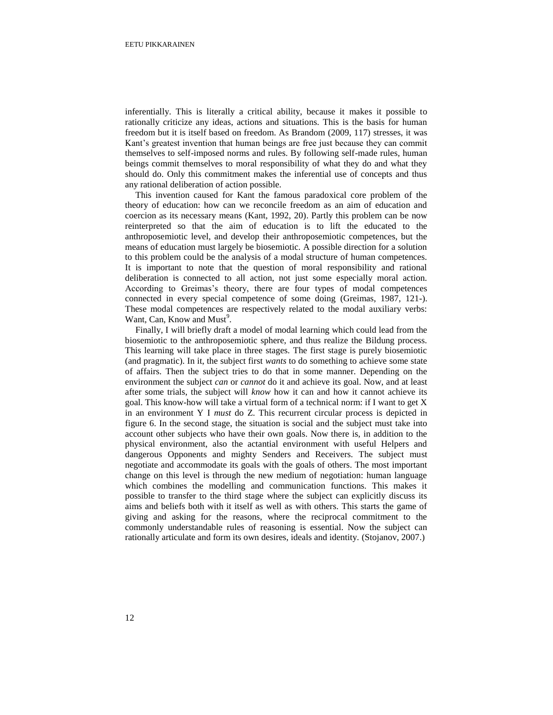inferentially. This is literally a critical ability, because it makes it possible to rationally criticize any ideas, actions and situations. This is the basis for human freedom but it is itself based on freedom. As Brandom (2009, 117) stresses, it was Kant's greatest invention that human beings are free just because they can commit themselves to self-imposed norms and rules. By following self-made rules, human beings commit themselves to moral responsibility of what they do and what they should do. Only this commitment makes the inferential use of concepts and thus any rational deliberation of action possible.

This invention caused for Kant the famous paradoxical core problem of the theory of education: how can we reconcile freedom as an aim of education and coercion as its necessary means (Kant, 1992, 20). Partly this problem can be now reinterpreted so that the aim of education is to lift the educated to the anthroposemiotic level, and develop their anthroposemiotic competences, but the means of education must largely be biosemiotic. A possible direction for a solution to this problem could be the analysis of a modal structure of human competences. It is important to note that the question of moral responsibility and rational deliberation is connected to all action, not just some especially moral action. According to Greimas's theory, there are four types of modal competences connected in every special competence of some doing (Greimas, 1987, 121-). These modal competences are respectively related to the modal auxiliary verbs: Want, Can, Know and Must<sup>9</sup>.

Finally, I will briefly draft a model of modal learning which could lead from the biosemiotic to the anthroposemiotic sphere, and thus realize the Bildung process. This learning will take place in three stages. The first stage is purely biosemiotic (and pragmatic). In it, the subject first *wants* to do something to achieve some state of affairs. Then the subject tries to do that in some manner. Depending on the environment the subject *can* or *cannot* do it and achieve its goal. Now, and at least after some trials, the subject will *know* how it can and how it cannot achieve its goal. This know-how will take a virtual form of a technical norm: if I want to get X in an environment Y I *must* do Z. This recurrent circular process is depicted in figure 6. In the second stage, the situation is social and the subject must take into account other subjects who have their own goals. Now there is, in addition to the physical environment, also the actantial environment with useful Helpers and dangerous Opponents and mighty Senders and Receivers. The subject must negotiate and accommodate its goals with the goals of others. The most important change on this level is through the new medium of negotiation: human language which combines the modelling and communication functions. This makes it possible to transfer to the third stage where the subject can explicitly discuss its aims and beliefs both with it itself as well as with others. This starts the game of giving and asking for the reasons, where the reciprocal commitment to the commonly understandable rules of reasoning is essential. Now the subject can rationally articulate and form its own desires, ideals and identity. (Stojanov, 2007.)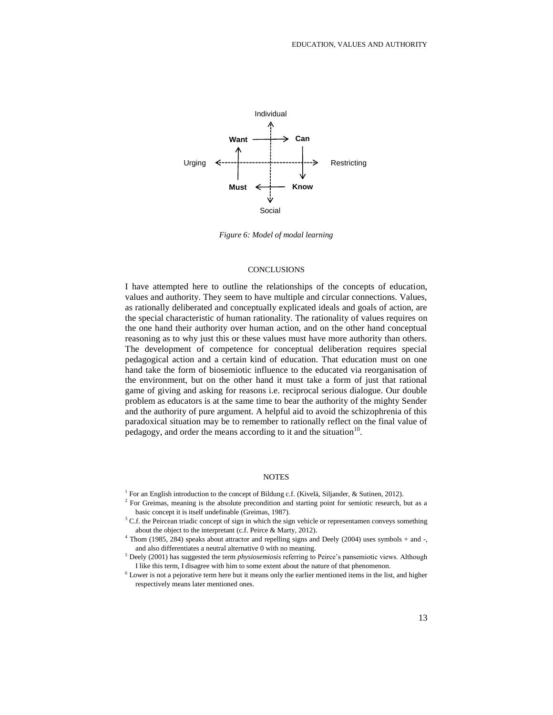

*Figure 6: Model of modal learning*

### **CONCLUSIONS**

I have attempted here to outline the relationships of the concepts of education, values and authority. They seem to have multiple and circular connections. Values, as rationally deliberated and conceptually explicated ideals and goals of action, are the special characteristic of human rationality. The rationality of values requires on the one hand their authority over human action, and on the other hand conceptual reasoning as to why just this or these values must have more authority than others. The development of competence for conceptual deliberation requires special pedagogical action and a certain kind of education. That education must on one hand take the form of biosemiotic influence to the educated via reorganisation of the environment, but on the other hand it must take a form of just that rational game of giving and asking for reasons i.e. reciprocal serious dialogue. Our double problem as educators is at the same time to bear the authority of the mighty Sender and the authority of pure argument. A helpful aid to avoid the schizophrenia of this paradoxical situation may be to remember to rationally reflect on the final value of  $P$  pedagogy, and order the means according to it and the situation<sup>10</sup>.

## **NOTES**

<sup>&</sup>lt;sup>1</sup> For an English introduction to the concept of Bildung c.f. (Kivelä, Siljander, & Sutinen, 2012).

<sup>&</sup>lt;sup>2</sup> For Greimas, meaning is the absolute precondition and starting point for semiotic research, but as a basic concept it is itself undefinable (Greimas, 1987).

<sup>&</sup>lt;sup>3</sup> C.f. the Peircean triadic concept of sign in which the sign vehicle or representamen conveys something about the object to the interpretant (c.f. Peirce & Marty, 2012).

<sup>4</sup> Thom (1985, 284) speaks about attractor and repelling signs and Deely (2004) uses symbols + and -, and also differentiates a neutral alternative 0 with no meaning.

<sup>5</sup> Deely (2001) has suggested the term *physiosemiosis* referring to Peirce's pansemiotic views. Although I like this term, I disagree with him to some extent about the nature of that phenomenon.

 $6$  Lower is not a pejorative term here but it means only the earlier mentioned items in the list, and higher respectively means later mentioned ones.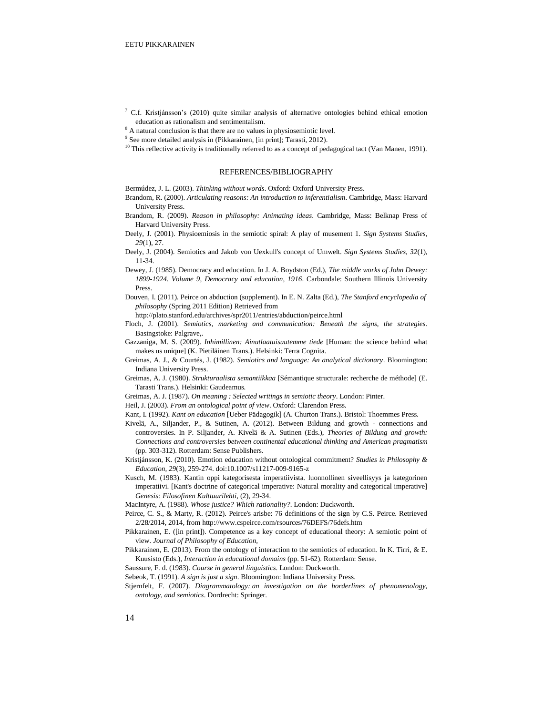- $7$  C.f. Kristiánsson's (2010) quite similar analysis of alternative ontologies behind ethical emotion education as rationalism and sentimentalism.
- <sup>8</sup> A natural conclusion is that there are no values in physiosemiotic level.
- 9 See more detailed analysis in (Pikkarainen, [in print]; Tarasti, 2012).
- <sup>10</sup> This reflective activity is traditionally referred to as a concept of pedagogical tact (Van Manen, 1991).

#### REFERENCES/BIBLIOGRAPHY

Bermúdez, J. L. (2003). *Thinking without words*. Oxford: Oxford University Press.

- Brandom, R. (2000). *Articulating reasons: An introduction to inferentialism*. Cambridge, Mass: Harvard University Press.
- Brandom, R. (2009). *Reason in philosophy: Animating ideas*. Cambridge, Mass: Belknap Press of Harvard University Press.
- Deely, J. (2001). Physioemiosis in the semiotic spiral: A play of musement 1. *Sign Systems Studies, 29*(1), 27.
- Deely, J. (2004). Semiotics and Jakob von Uexkull's concept of Umwelt. *Sign Systems Studies, 32*(1), 11-34.
- Dewey, J. (1985). Democracy and education. In J. A. Boydston (Ed.), *The middle works of John Dewey: 1899-1924. Volume 9, Democracy and education, 1916*. Carbondale: Southern Illinois University Press.
- Douven, I. (2011). Peirce on abduction (supplement). In E. N. Zalta (Ed.), *The Stanford encyclopedia of philosophy* (Spring 2011 Edition) Retrieved from

http://plato.stanford.edu/archives/spr2011/entries/abduction/peirce.html

- Floch, J. (2001). *Semiotics, marketing and communication: Beneath the signs, the strategies*. Basingstoke: Palgrave,.
- Gazzaniga, M. S. (2009). *Inhimillinen: Ainutlaatuisuutemme tiede* [Human: the science behind what makes us unique] (K. Pietiläinen Trans.). Helsinki: Terra Cognita.
- Greimas, A. J., & Courtés, J. (1982). *Semiotics and language: An analytical dictionary*. Bloomington: Indiana University Press.
- Greimas, A. J. (1980). *Strukturaalista semantiikkaa* [Sémantique structurale: recherche de méthode] (E. Tarasti Trans.). Helsinki: Gaudeamus.
- Greimas, A. J. (1987). *On meaning : Selected writings in semiotic theory*. London: Pinter.
- Heil, J. (2003). *From an ontological point of view*. Oxford: Clarendon Press.
- Kant, I. (1992). *Kant on education* [Ueber Pädagogik] (A. Churton Trans.). Bristol: Thoemmes Press.
- Kivelä, A., Siljander, P., & Sutinen, A. (2012). Between Bildung and growth connections and controversies. In P. Siljander, A. Kivelä & A. Sutinen (Eds.), *Theories of Bildung and growth: Connections and controversies between continental educational thinking and American pragmatism* (pp. 303-312). Rotterdam: Sense Publishers.
- Kristjánsson, K. (2010). Emotion education without ontological commitment? *Studies in Philosophy & Education, 29*(3), 259-274. doi:10.1007/s11217-009-9165-z
- Kusch, M. (1983). Kantin oppi kategorisesta imperatiivista. luonnollinen siveellisyys ja kategorinen imperatiivi. [Kant's doctrine of categorical imperative: Natural morality and categorical imperative] *Genesis: Filosofinen Kulttuurilehti,* (2), 29-34.
- MacIntyre, A. (1988). *Whose justice? Which rationality?*. London: Duckworth.
- Peirce, C. S., & Marty, R. (2012). Peirce's arisbe: 76 definitions of the sign by C.S. Peirce. Retrieved 2/28/2014, 2014, from http://www.cspeirce.com/rsources/76DEFS/76defs.htm
- Pikkarainen, E. ([in print]). Competence as a key concept of educational theory: A semiotic point of view. *Journal of Philosophy of Education,*
- Pikkarainen, E. (2013). From the ontology of interaction to the semiotics of education. In K. Tirri, & E. Kuusisto (Eds.), *Interaction in educational domains* (pp. 51-62). Rotterdam: Sense.
- Saussure, F. d. (1983). *Course in general linguistics*. London: Duckworth.
- Sebeok, T. (1991). *A sign is just a sign*. Bloomington: Indiana University Press.
- Stjernfelt, F. (2007). *Diagrammatology: an investigation on the borderlines of phenomenology, ontology, and semiotics*. Dordrecht: Springer.